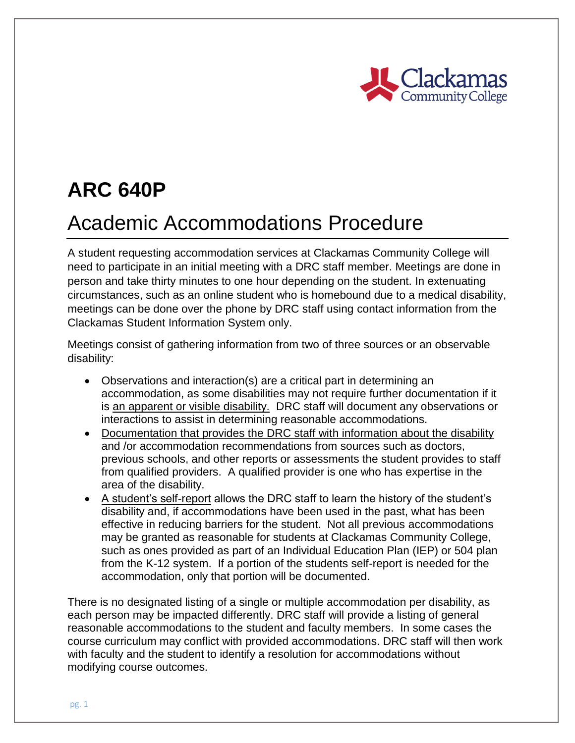

# **ARC 640P**

## Academic Accommodations Procedure

A student requesting accommodation services at Clackamas Community College will need to participate in an initial meeting with a DRC staff member. Meetings are done in person and take thirty minutes to one hour depending on the student. In extenuating circumstances, such as an online student who is homebound due to a medical disability, meetings can be done over the phone by DRC staff using contact information from the Clackamas Student Information System only.

Meetings consist of gathering information from two of three sources or an observable disability:

- Observations and interaction(s) are a critical part in determining an accommodation, as some disabilities may not require further documentation if it is an apparent or visible disability. DRC staff will document any observations or interactions to assist in determining reasonable accommodations.
- Documentation that provides the DRC staff with information about the disability and /or accommodation recommendations from sources such as doctors, previous schools, and other reports or assessments the student provides to staff from qualified providers. A qualified provider is one who has expertise in the area of the disability.
- A student's self-report allows the DRC staff to learn the history of the student's disability and, if accommodations have been used in the past, what has been effective in reducing barriers for the student. Not all previous accommodations may be granted as reasonable for students at Clackamas Community College, such as ones provided as part of an Individual Education Plan (IEP) or 504 plan from the K-12 system. If a portion of the students self-report is needed for the accommodation, only that portion will be documented.

There is no designated listing of a single or multiple accommodation per disability, as each person may be impacted differently. DRC staff will provide a listing of general reasonable accommodations to the student and faculty members. In some cases the course curriculum may conflict with provided accommodations. DRC staff will then work with faculty and the student to identify a resolution for accommodations without modifying course outcomes.